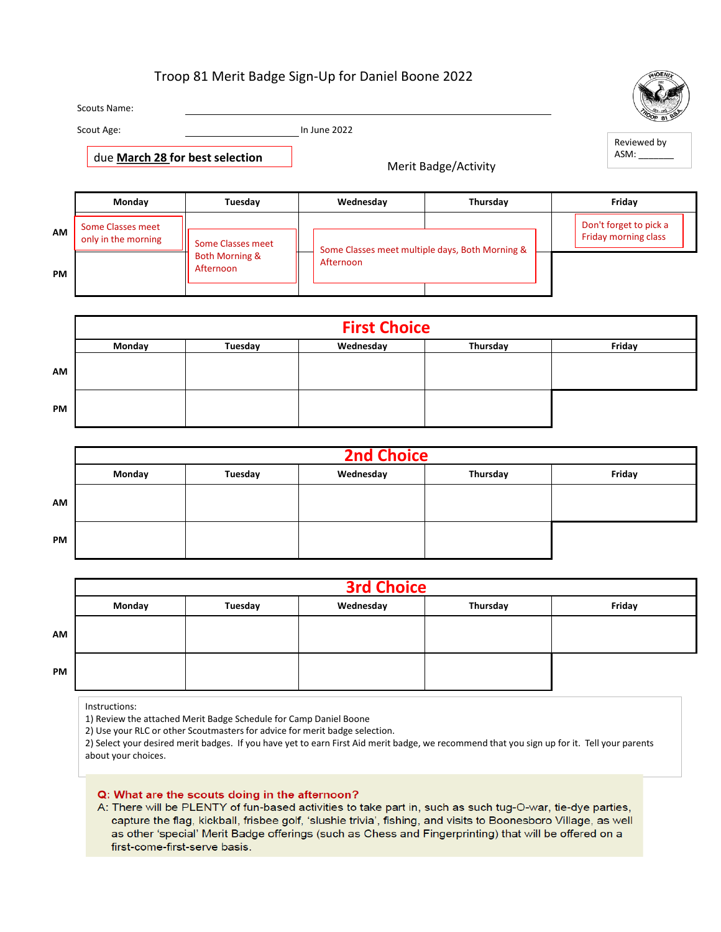## Troop 81 Merit Badge Sign-Up for Daniel Boone 2022

Scouts Name: Scout Age: In June 2022 **Monday Tuesday Wednesday Thursday Friday AM PM** Merit Badge/Activity **First Choice** Reviewed by ASM: due **March 28 for best selection** Some Classes meet only in the morning  $\frac{1}{s}$  Some Classes meet Both Morning & Afternoon Some Classes meet multiple days, Both Morning & Afternoon Don't forget to pick a Friday morning class

|           | <b>First Choice</b> |         |           |          |        |  |  |  |  |
|-----------|---------------------|---------|-----------|----------|--------|--|--|--|--|
|           | Monday              | Tuesday | Wednesday | Thursday | Friday |  |  |  |  |
| AM        |                     |         |           |          |        |  |  |  |  |
| <b>PM</b> |                     |         |           |          |        |  |  |  |  |

|           | <b>2nd Choice</b> |         |           |          |        |  |  |  |  |
|-----------|-------------------|---------|-----------|----------|--------|--|--|--|--|
|           | Monday            | Tuesday | Wednesday | Thursday | Friday |  |  |  |  |
| AM        |                   |         |           |          |        |  |  |  |  |
| <b>PM</b> |                   |         |           |          |        |  |  |  |  |

|           | <b>3rd Choice</b> |         |           |          |        |  |  |  |  |
|-----------|-------------------|---------|-----------|----------|--------|--|--|--|--|
|           | Monday            | Tuesday | Wednesday | Thursday | Friday |  |  |  |  |
| AM        |                   |         |           |          |        |  |  |  |  |
| <b>PM</b> |                   |         |           |          |        |  |  |  |  |

Instructions:

1) Review the attached Merit Badge Schedule for Camp Daniel Boone

2) Use your RLC or other Scoutmasters for advice for merit badge selection.

2) Select your desired merit badges. If you have yet to earn First Aid merit badge, we recommend that you sign up for it. Tell your parents about your choices.

## Q: What are the scouts doing in the afternoon?

A: There will be PLENTY of fun-based activities to take part in, such as such tug-O-war, tie-dye parties, capture the flag, kickball, frisbee golf, 'slushie trivia', fishing, and visits to Boonesboro Village, as well as other 'special' Merit Badge offerings (such as Chess and Fingerprinting) that will be offered on a first-come-first-serve basis.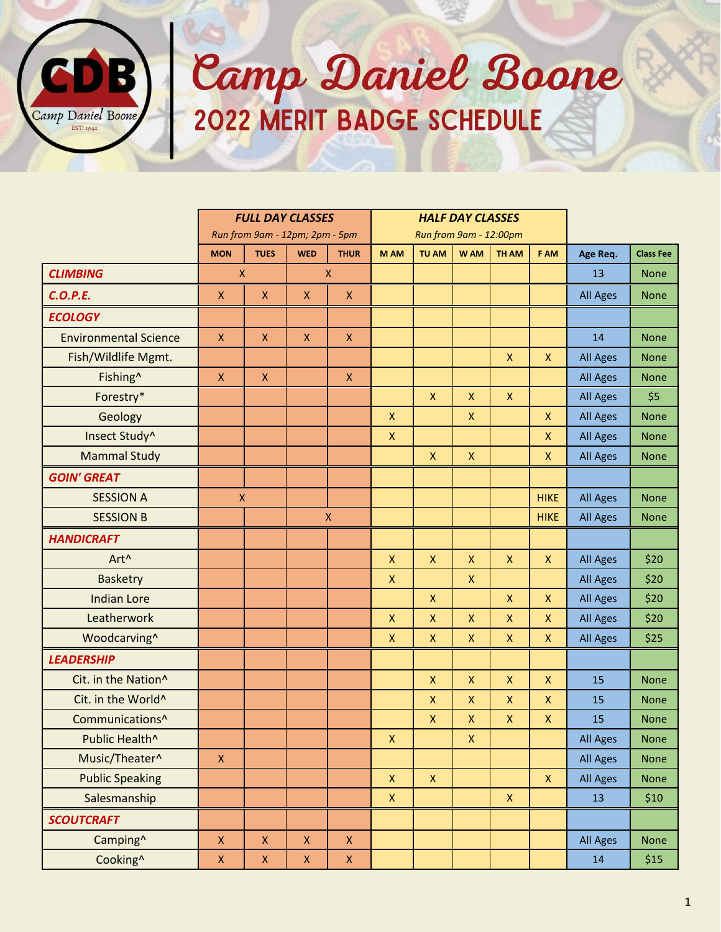

## Camp Daniel Boone

|                              | <b>FULL DAY CLASSES</b>        |                    |                        | <b>HALF DAY CLASSES</b> |                    |                    |                    |                    |                           |                 |                  |
|------------------------------|--------------------------------|--------------------|------------------------|-------------------------|--------------------|--------------------|--------------------|--------------------|---------------------------|-----------------|------------------|
|                              | Run from 9am - 12pm; 2pm - 5pm |                    | Run from 9am - 12:00pm |                         |                    |                    |                    |                    |                           |                 |                  |
|                              | <b>MON</b>                     | <b>TUES</b>        | <b>WED</b>             | <b>THUR</b>             | M AM               | TU AM              | W AM               | <b>TH AM</b>       | F AM                      | Age Req.        | <b>Class Fee</b> |
| <b>CLIMBING</b>              | $\pmb{\mathsf{X}}$             |                    |                        | $\mathsf{X}$            |                    |                    |                    |                    |                           | 13              | <b>None</b>      |
| <b>C.O.P.E.</b>              | $\pmb{\mathsf{X}}$             | $\pmb{\mathsf{X}}$ | $\pmb{\mathsf{X}}$     | $\mathsf X$             |                    |                    |                    |                    |                           | <b>All Ages</b> | <b>None</b>      |
| <b>ECOLOGY</b>               |                                |                    |                        |                         |                    |                    |                    |                    |                           |                 |                  |
| <b>Environmental Science</b> | X                              | $\pmb{\mathsf{X}}$ | X                      | $\pmb{\times}$          |                    |                    |                    |                    |                           | 14              | <b>None</b>      |
| Fish/Wildlife Mgmt.          |                                |                    |                        |                         |                    |                    |                    | $\pmb{\times}$     | $\pmb{\mathsf{X}}$        | <b>All Ages</b> | <b>None</b>      |
| Fishing <sup>^</sup>         | $\mathsf X$                    | $\pmb{\mathsf{X}}$ |                        | $\mathsf X$             |                    |                    |                    |                    |                           | <b>All Ages</b> | <b>None</b>      |
| Forestry*                    |                                |                    |                        |                         |                    | $\mathsf{X}$       | $\pmb{\mathsf{X}}$ | $\mathsf{X}$       |                           | <b>All Ages</b> | \$5              |
| Geology                      |                                |                    |                        |                         | $\pmb{\mathsf{X}}$ |                    | X                  |                    | $\pmb{\mathsf{X}}$        | <b>All Ages</b> | <b>None</b>      |
| Insect Study^                |                                |                    |                        |                         | $\pmb{\mathsf{X}}$ |                    |                    |                    | $\pmb{\mathsf{X}}$        | <b>All Ages</b> | <b>None</b>      |
| <b>Mammal Study</b>          |                                |                    |                        |                         |                    | $\pmb{\mathsf{X}}$ | $\pmb{\mathsf{X}}$ |                    | $\pmb{\mathsf{X}}$        | <b>All Ages</b> | <b>None</b>      |
| <b>GOIN' GREAT</b>           |                                |                    |                        |                         |                    |                    |                    |                    |                           |                 |                  |
| <b>SESSION A</b>             | $\pmb{\mathsf{X}}$             |                    |                        |                         |                    |                    |                    |                    | <b>HIKE</b>               | <b>All Ages</b> | <b>None</b>      |
| <b>SESSION B</b>             |                                |                    |                        | $\pmb{\mathsf{X}}$      |                    |                    |                    |                    | <b>HIKE</b>               | <b>All Ages</b> | <b>None</b>      |
| <b>HANDICRAFT</b>            |                                |                    |                        |                         |                    |                    |                    |                    |                           |                 |                  |
| Art^                         |                                |                    |                        |                         | $\mathsf{x}$       | $\mathsf{X}$       | $\pmb{\mathsf{X}}$ | $\mathsf{X}$       | $\mathsf{X}$              | <b>All Ages</b> | \$20             |
| <b>Basketry</b>              |                                |                    |                        |                         | $\pmb{\mathsf{X}}$ |                    | X                  |                    |                           | <b>All Ages</b> | \$20             |
| <b>Indian Lore</b>           |                                |                    |                        |                         |                    | $\pmb{\mathsf{X}}$ |                    | $\pmb{\mathsf{X}}$ | $\pmb{\mathsf{X}}$        | <b>All Ages</b> | \$20             |
| Leatherwork                  |                                |                    |                        |                         | $\pmb{\mathsf{X}}$ | $\pmb{\mathsf{X}}$ | $\pmb{\times}$     | $\mathsf{x}$       | $\pmb{\mathsf{X}}$        | <b>All Ages</b> | \$20             |
| Woodcarving^                 |                                |                    |                        |                         | $\pmb{\mathsf{X}}$ | $\mathsf{x}$       | $\pmb{\mathsf{X}}$ | $\mathsf{X}$       | $\pmb{\mathsf{X}}$        | <b>All Ages</b> | \$25             |
| <b>LEADERSHIP</b>            |                                |                    |                        |                         |                    |                    |                    |                    |                           |                 |                  |
| Cit. in the Nation^          |                                |                    |                        |                         |                    | $\mathsf{X}$       | $\mathsf{X}$       | $\mathsf{X}$       | $\boldsymbol{\mathsf{X}}$ | 15              | <b>None</b>      |
| Cit. in the World^           |                                |                    |                        |                         |                    | X                  | X                  | $\boldsymbol{X}$   | $\boldsymbol{\mathsf{X}}$ | 15              | <b>None</b>      |
| Communications <sup>^</sup>  |                                |                    |                        |                         |                    | $\pmb{\mathsf{X}}$ | $\pmb{\mathsf{X}}$ | $\pmb{\times}$     | $\pmb{\mathsf{X}}$        | 15              | <b>None</b>      |
| Public Health^               |                                |                    |                        |                         | $\mathsf{X}^-$     |                    | $\mathsf X$        |                    |                           | <b>All Ages</b> | <b>None</b>      |
| Music/Theater^               | $\bar{\mathsf{X}}$             |                    |                        |                         |                    |                    |                    |                    |                           | <b>All Ages</b> | <b>None</b>      |
| <b>Public Speaking</b>       |                                |                    |                        |                         | $\mathsf X$        | $\mathsf X$        |                    |                    | $\mathsf{X}$              | <b>All Ages</b> | None             |
| Salesmanship                 |                                |                    |                        |                         | $\pmb{\mathsf{X}}$ |                    |                    | $\mathsf{X}$       |                           | 13              | \$10             |
| <b>SCOUTCRAFT</b>            |                                |                    |                        |                         |                    |                    |                    |                    |                           |                 |                  |
| Camping^                     | $\pmb{\mathsf{X}}$             | $\pmb{\mathsf{X}}$ | $\pmb{\mathsf{X}}$     | $\mathsf X$             |                    |                    |                    |                    |                           | <b>All Ages</b> | <b>None</b>      |
| Cooking^                     | $\pmb{\mathsf{X}}$             | $\mathsf X$        | $\mathsf X$            | $\mathsf X$             |                    |                    |                    |                    |                           | 14              | \$15             |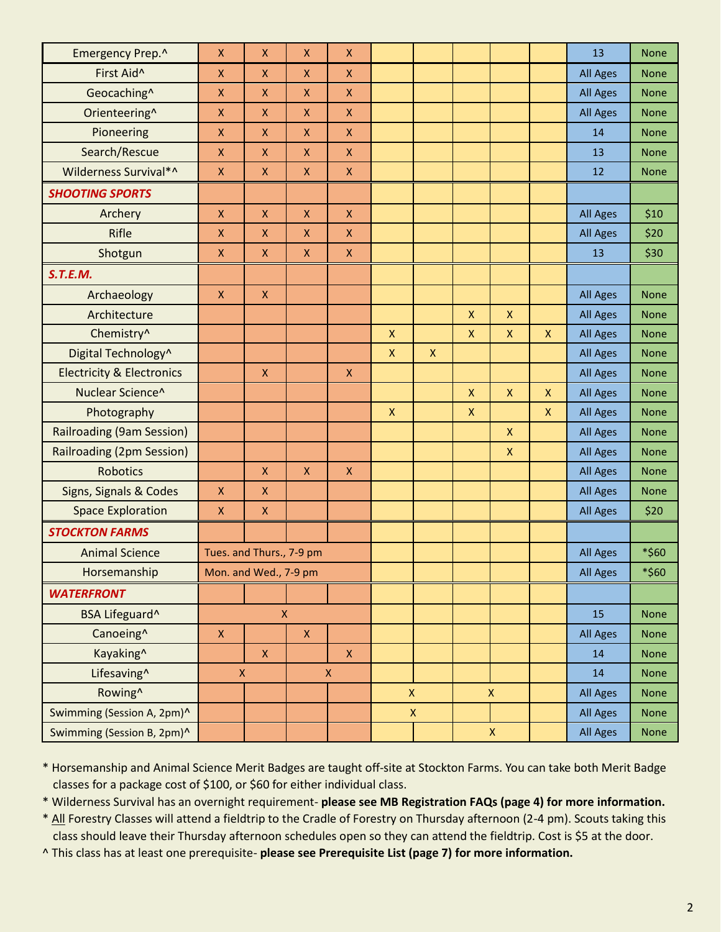| Emergency Prep.^                     | $\pmb{\mathsf{X}}$                | X                        | $\pmb{\mathsf{X}}$                | $\pmb{\mathsf{X}}$ |                    |                    |                    |                    |                           | 13              | <b>None</b> |
|--------------------------------------|-----------------------------------|--------------------------|-----------------------------------|--------------------|--------------------|--------------------|--------------------|--------------------|---------------------------|-----------------|-------------|
| First Aid^                           | $\pmb{\mathsf{X}}$                | X                        | $\pmb{\times}$                    | X                  |                    |                    |                    |                    |                           | <b>All Ages</b> | <b>None</b> |
| Geocaching^                          | $\pmb{\mathsf{X}}$                | X                        | $\pmb{\mathsf{X}}$                | $\pmb{\mathsf{X}}$ |                    |                    |                    |                    |                           | <b>All Ages</b> | <b>None</b> |
| Orienteering^                        | $\pmb{\mathsf{X}}$                | X                        | $\pmb{\mathsf{X}}$                | $\pmb{\mathsf{X}}$ |                    |                    |                    |                    |                           | <b>All Ages</b> | <b>None</b> |
| Pioneering                           | $\mathsf X$                       | X                        | $\pmb{\mathsf{X}}$                | $\pmb{\times}$     |                    |                    |                    |                    |                           | 14              | <b>None</b> |
| Search/Rescue                        | $\pmb{\mathsf{X}}$                | $\pmb{\mathsf{X}}$       | $\mathsf{X}$                      | $\pmb{\mathsf{X}}$ |                    |                    |                    |                    |                           | 13              | <b>None</b> |
| Wilderness Survival*^                | $\pmb{\mathsf{X}}$                | X                        | $\pmb{\mathsf{X}}$                | X                  |                    |                    |                    |                    |                           | 12              | <b>None</b> |
| <b>SHOOTING SPORTS</b>               |                                   |                          |                                   |                    |                    |                    |                    |                    |                           |                 |             |
| Archery                              | $\mathsf X$                       | X.                       | $\pmb{\times}$                    | $\pmb{\times}$     |                    |                    |                    |                    |                           | <b>All Ages</b> | \$10        |
| Rifle                                | $\pmb{\mathsf{X}}$                | X                        | $\pmb{\mathsf{X}}$                | $\pmb{\mathsf{X}}$ |                    |                    |                    |                    |                           | <b>All Ages</b> | \$20        |
| Shotgun                              | $\mathsf X$                       | X                        | $\pmb{\mathsf{X}}$                | $\pmb{\times}$     |                    |                    |                    |                    |                           | 13              | \$30        |
| S.T.E.M.                             |                                   |                          |                                   |                    |                    |                    |                    |                    |                           |                 |             |
| Archaeology                          | $\mathsf X$                       | $\pmb{\mathsf{X}}$       |                                   |                    |                    |                    |                    |                    |                           | <b>All Ages</b> | <b>None</b> |
| Architecture                         |                                   |                          |                                   |                    |                    |                    | $\mathsf{x}$       | $\mathsf{X}$       |                           | <b>All Ages</b> | <b>None</b> |
| Chemistry^                           |                                   |                          |                                   |                    | $\mathsf{X}$       |                    | $\pmb{\mathsf{X}}$ | $\pmb{\mathsf{X}}$ | $\pmb{\mathsf{X}}$        | <b>All Ages</b> | <b>None</b> |
| Digital Technology^                  |                                   |                          |                                   |                    | $\pmb{\mathsf{X}}$ | $\mathsf{X}$       |                    |                    |                           | <b>All Ages</b> | <b>None</b> |
| <b>Electricity &amp; Electronics</b> |                                   | $\pmb{\mathsf{X}}$       |                                   | $\pmb{\times}$     |                    |                    |                    |                    |                           | <b>All Ages</b> | <b>None</b> |
| Nuclear Science^                     |                                   |                          |                                   |                    |                    |                    | $\mathsf{x}$       | $\mathsf{x}$       | $\mathsf{x}$              | <b>All Ages</b> | <b>None</b> |
| Photography                          |                                   |                          |                                   |                    | $\mathsf{X}$       |                    | $\pmb{\mathsf{X}}$ |                    | $\boldsymbol{\mathsf{X}}$ | <b>All Ages</b> | <b>None</b> |
| <b>Railroading (9am Session)</b>     |                                   |                          |                                   |                    |                    |                    |                    | $\mathsf{X}$       |                           | <b>All Ages</b> | <b>None</b> |
| Railroading (2pm Session)            |                                   |                          |                                   |                    |                    |                    |                    | $\mathsf{X}$       |                           | <b>All Ages</b> | <b>None</b> |
| <b>Robotics</b>                      |                                   | $\pmb{\mathsf{X}}$       | $\pmb{\mathsf{X}}$                | $\pmb{\times}$     |                    |                    |                    |                    |                           | <b>All Ages</b> | <b>None</b> |
| Signs, Signals & Codes               | $\pmb{\mathsf{X}}$                | X                        |                                   |                    |                    |                    |                    |                    |                           | <b>All Ages</b> | <b>None</b> |
| <b>Space Exploration</b>             | $\pmb{\mathsf{X}}$                | $\pmb{\mathsf{X}}$       |                                   |                    |                    |                    |                    |                    |                           | <b>All Ages</b> | \$20        |
| <b>STOCKTON FARMS</b>                |                                   |                          |                                   |                    |                    |                    |                    |                    |                           |                 |             |
| <b>Animal Science</b>                |                                   | Tues. and Thurs., 7-9 pm |                                   |                    |                    |                    |                    |                    |                           | <b>All Ages</b> | *\$60       |
| Horsemanship                         | Mon. and Wed., 7-9 pm             |                          |                                   |                    |                    |                    |                    |                    |                           | All Ages        | *\$60       |
| <b>WATERFRONT</b>                    |                                   |                          |                                   |                    |                    |                    |                    |                    |                           |                 |             |
| BSA Lifeguard^                       | $\pmb{\times}$                    |                          |                                   |                    |                    |                    |                    |                    | 15                        | <b>None</b>     |             |
| Canoeing <sup>^</sup>                | $\mathsf X$                       |                          | $\mathsf X$                       |                    |                    |                    |                    |                    |                           | <b>All Ages</b> | <b>None</b> |
| Kayaking^                            |                                   | $\mathsf X$              |                                   | $\mathsf X$        |                    |                    |                    |                    |                           | 14              | <b>None</b> |
| Lifesaving^                          | $\pmb{\mathsf{X}}$<br>$\mathsf X$ |                          |                                   |                    |                    |                    |                    |                    | 14                        | <b>None</b>     |             |
| Rowing <sup>^</sup>                  |                                   |                          | $\mathsf X$<br>$\pmb{\mathsf{X}}$ |                    |                    |                    | <b>All Ages</b>    | <b>None</b>        |                           |                 |             |
| Swimming (Session A, 2pm)^           |                                   |                          |                                   |                    |                    | $\pmb{\mathsf{X}}$ |                    |                    |                           | <b>All Ages</b> | None        |
| Swimming (Session B, 2pm)^           |                                   |                          |                                   |                    |                    |                    |                    | $\mathsf X$        |                           | <b>All Ages</b> | None        |

\* Horsemanship and Animal Science Merit Badges are taught off-site at Stockton Farms. You can take both Merit Badge classes for a package cost of \$100, or \$60 for either individual class.

\* Wilderness Survival has an overnight requirement- **please see MB Registration FAQs (page 4) for more information.**

\* All Forestry Classes will attend a fieldtrip to the Cradle of Forestry on Thursday afternoon (2-4 pm). Scouts taking this class should leave their Thursday afternoon schedules open so they can attend the fieldtrip. Cost is \$5 at the door.

^ This class has at least one prerequisite- **please see Prerequisite List (page 7) for more information.**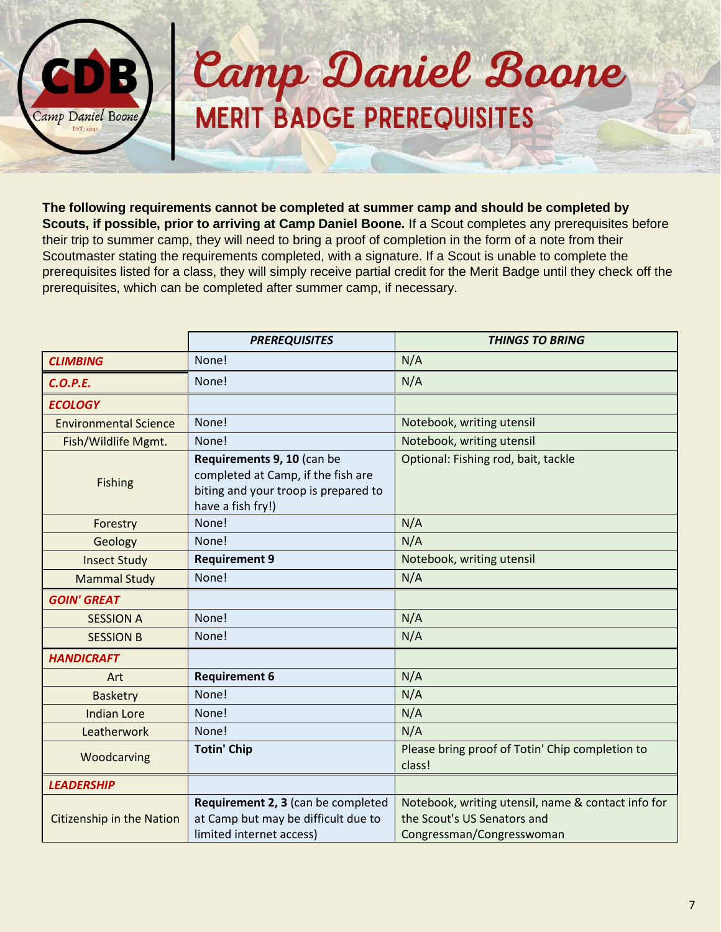

## Camp Daniel Boone **MERIT BADGE PREREQUISITES**

**The following requirements cannot be completed at summer camp and should be completed by Scouts, if possible, prior to arriving at Camp Daniel Boone.** If a Scout completes any prerequisites before their trip to summer camp, they will need to bring a proof of completion in the form of a note from their Scoutmaster stating the requirements completed, with a signature. If a Scout is unable to complete the prerequisites listed for a class, they will simply receive partial credit for the Merit Badge until they check off the prerequisites, which can be completed after summer camp, if necessary.

|                                  | <b>PREREQUISITES</b>                                                                                                          | <b>THINGS TO BRING</b>                                                                                         |  |  |
|----------------------------------|-------------------------------------------------------------------------------------------------------------------------------|----------------------------------------------------------------------------------------------------------------|--|--|
| <b>CLIMBING</b>                  | None!                                                                                                                         | N/A                                                                                                            |  |  |
| <b>C.O.P.E.</b>                  | None!                                                                                                                         | N/A                                                                                                            |  |  |
| <b>ECOLOGY</b>                   |                                                                                                                               |                                                                                                                |  |  |
| <b>Environmental Science</b>     | None!                                                                                                                         | Notebook, writing utensil                                                                                      |  |  |
| Fish/Wildlife Mgmt.              | None!                                                                                                                         | Notebook, writing utensil                                                                                      |  |  |
| <b>Fishing</b>                   | Requirements 9, 10 (can be<br>completed at Camp, if the fish are<br>biting and your troop is prepared to<br>have a fish fry!) | Optional: Fishing rod, bait, tackle                                                                            |  |  |
| Forestry                         | None!                                                                                                                         | N/A                                                                                                            |  |  |
| Geology                          | None!                                                                                                                         | N/A                                                                                                            |  |  |
| <b>Insect Study</b>              | <b>Requirement 9</b>                                                                                                          | Notebook, writing utensil                                                                                      |  |  |
| <b>Mammal Study</b>              | None!                                                                                                                         | N/A                                                                                                            |  |  |
| <b>GOIN' GREAT</b>               |                                                                                                                               |                                                                                                                |  |  |
| <b>SESSION A</b>                 | None!                                                                                                                         | N/A                                                                                                            |  |  |
| <b>SESSION B</b>                 | None!                                                                                                                         | N/A                                                                                                            |  |  |
| <b>HANDICRAFT</b>                |                                                                                                                               |                                                                                                                |  |  |
| Art                              | <b>Requirement 6</b>                                                                                                          | N/A                                                                                                            |  |  |
| <b>Basketry</b>                  | None!                                                                                                                         | N/A                                                                                                            |  |  |
| <b>Indian Lore</b>               | None!                                                                                                                         | N/A                                                                                                            |  |  |
| Leatherwork                      | None!                                                                                                                         | N/A                                                                                                            |  |  |
| Woodcarving                      | <b>Totin' Chip</b>                                                                                                            | Please bring proof of Totin' Chip completion to<br>class!                                                      |  |  |
| <b>LEADERSHIP</b>                |                                                                                                                               |                                                                                                                |  |  |
| <b>Citizenship in the Nation</b> | Requirement 2, 3 (can be completed<br>at Camp but may be difficult due to<br>limited internet access)                         | Notebook, writing utensil, name & contact info for<br>the Scout's US Senators and<br>Congressman/Congresswoman |  |  |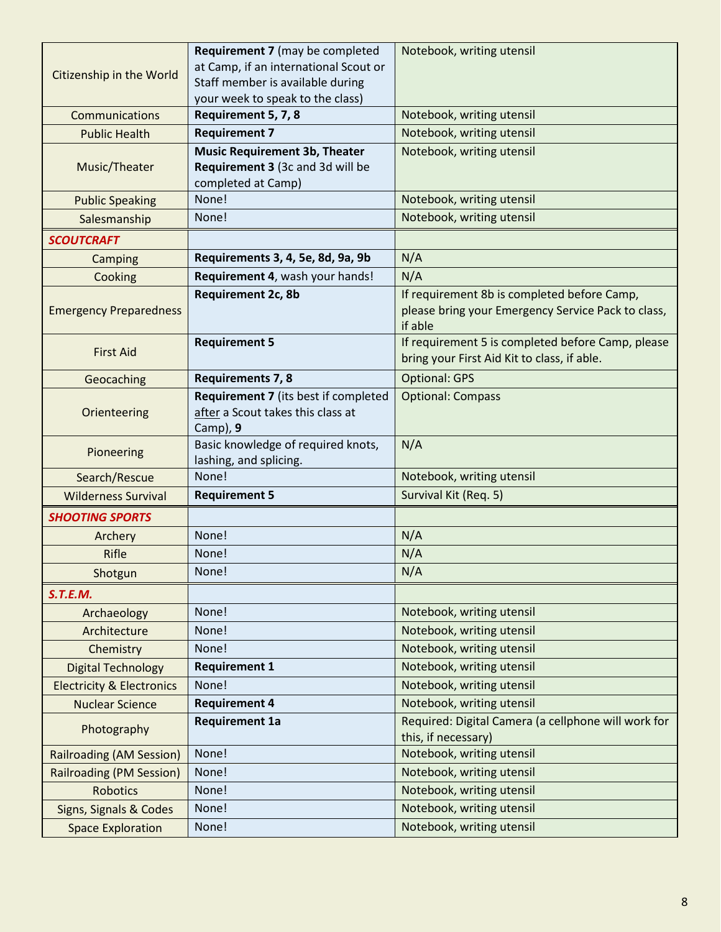|                                      | <b>Requirement 7</b> (may be completed                                   | Notebook, writing utensil                           |  |  |
|--------------------------------------|--------------------------------------------------------------------------|-----------------------------------------------------|--|--|
| Citizenship in the World             | at Camp, if an international Scout or                                    |                                                     |  |  |
|                                      | Staff member is available during                                         |                                                     |  |  |
| Communications                       | your week to speak to the class)<br>Requirement 5, 7, 8                  | Notebook, writing utensil                           |  |  |
|                                      |                                                                          |                                                     |  |  |
| <b>Public Health</b>                 | <b>Requirement 7</b>                                                     | Notebook, writing utensil                           |  |  |
| Music/Theater                        | <b>Music Requirement 3b, Theater</b><br>Requirement 3 (3c and 3d will be | Notebook, writing utensil                           |  |  |
|                                      | completed at Camp)                                                       |                                                     |  |  |
| <b>Public Speaking</b>               | None!                                                                    | Notebook, writing utensil                           |  |  |
| Salesmanship                         | None!                                                                    | Notebook, writing utensil                           |  |  |
| <b>SCOUTCRAFT</b>                    |                                                                          |                                                     |  |  |
| Camping                              | Requirements 3, 4, 5e, 8d, 9a, 9b                                        | N/A                                                 |  |  |
| Cooking                              | Requirement 4, wash your hands!                                          | N/A                                                 |  |  |
|                                      | Requirement 2c, 8b                                                       | If requirement 8b is completed before Camp,         |  |  |
| <b>Emergency Preparedness</b>        |                                                                          | please bring your Emergency Service Pack to class,  |  |  |
|                                      |                                                                          | if able                                             |  |  |
|                                      | <b>Requirement 5</b>                                                     | If requirement 5 is completed before Camp, please   |  |  |
| <b>First Aid</b>                     |                                                                          | bring your First Aid Kit to class, if able.         |  |  |
| Geocaching                           | <b>Requirements 7, 8</b>                                                 | <b>Optional: GPS</b>                                |  |  |
|                                      | Requirement 7 (its best if completed                                     | <b>Optional: Compass</b>                            |  |  |
| Orienteering                         | after a Scout takes this class at                                        |                                                     |  |  |
|                                      | Camp), $9$                                                               |                                                     |  |  |
| Pioneering                           | Basic knowledge of required knots,                                       | N/A                                                 |  |  |
|                                      | lashing, and splicing.                                                   |                                                     |  |  |
| Search/Rescue                        | None!                                                                    | Notebook, writing utensil                           |  |  |
| <b>Wilderness Survival</b>           | <b>Requirement 5</b>                                                     | Survival Kit (Req. 5)                               |  |  |
| <b>SHOOTING SPORTS</b>               |                                                                          |                                                     |  |  |
| Archery                              | None!                                                                    | N/A                                                 |  |  |
| Rifle                                | None!                                                                    | N/A                                                 |  |  |
| Shotgun                              | None!                                                                    | N/A                                                 |  |  |
| S.T.E.M.                             |                                                                          |                                                     |  |  |
| Archaeology                          | None!                                                                    | Notebook, writing utensil                           |  |  |
| Architecture                         | None!                                                                    | Notebook, writing utensil                           |  |  |
| Chemistry                            | None!                                                                    | Notebook, writing utensil                           |  |  |
| <b>Digital Technology</b>            | <b>Requirement 1</b>                                                     | Notebook, writing utensil                           |  |  |
| <b>Electricity &amp; Electronics</b> | None!                                                                    | Notebook, writing utensil                           |  |  |
| <b>Nuclear Science</b>               | <b>Requirement 4</b>                                                     | Notebook, writing utensil                           |  |  |
|                                      | <b>Requirement 1a</b>                                                    | Required: Digital Camera (a cellphone will work for |  |  |
| Photography                          |                                                                          | this, if necessary)                                 |  |  |
| <b>Railroading (AM Session)</b>      | None!                                                                    | Notebook, writing utensil                           |  |  |
| <b>Railroading (PM Session)</b>      | None!                                                                    | Notebook, writing utensil                           |  |  |
| <b>Robotics</b>                      | None!                                                                    | Notebook, writing utensil                           |  |  |
| Signs, Signals & Codes               | None!                                                                    | Notebook, writing utensil                           |  |  |
| <b>Space Exploration</b>             | None!                                                                    | Notebook, writing utensil                           |  |  |